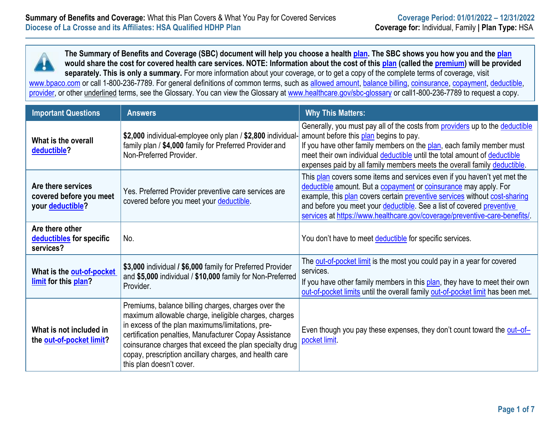**The Summary of Benefits and Coverage (SBC) document will help you choose a healt[h plan.](https://www.healthcare.gov/sbc-glossary/#plan) The SBC shows you how you and the [plan](https://www.healthcare.gov/sbc-glossary/#plan) would share the cost for covered health care services. NOTE: Information about the cost of this [plan](https://www.healthcare.gov/sbc-glossary/#plan) (called the [premium\)](https://www.healthcare.gov/sbc-glossary/#premium) will be provided separately. This is only a summary.** For more information about your coverage, or to get a copy of the complete terms of coverage, visit [www.bpaco.com](http://www.bpaco.com/) or call 1-800-236-7789. For general definitions of common terms, such as [allowed amount,](https://www.healthcare.gov/sbc-glossary/#allowed-amount) [balance billing,](https://www.healthcare.gov/sbc-glossary/#balance-billing) [coinsurance,](https://www.healthcare.gov/sbc-glossary/#coinsurance) [copayment,](https://www.healthcare.gov/sbc-glossary/#copayment) [deductible,](https://www.healthcare.gov/sbc-glossary/#deductible) [provider,](https://www.healthcare.gov/sbc-glossary/#provider) or other underlined terms, see the Glossary. You can view the Glossary at [www.healthcare.gov/sbc-glossary](http://www.healthcare.gov/sbc-glossary) or call1-800-236-7789 to request a copy.

| <b>Important Questions</b>                                        | <b>Answers</b>                                                                                                                                                                                                                                                                                                                                                              | <b>Why This Matters:</b>                                                                                                                                                                                                                                                                                                                                                         |  |  |
|-------------------------------------------------------------------|-----------------------------------------------------------------------------------------------------------------------------------------------------------------------------------------------------------------------------------------------------------------------------------------------------------------------------------------------------------------------------|----------------------------------------------------------------------------------------------------------------------------------------------------------------------------------------------------------------------------------------------------------------------------------------------------------------------------------------------------------------------------------|--|--|
| What is the overall<br>deductible?                                | \$2,000 individual-employee only plan / \$2,800 individual-<br>family plan / \$4,000 family for Preferred Provider and<br>Non-Preferred Provider.                                                                                                                                                                                                                           | Generally, you must pay all of the costs from providers up to the deductible<br>amount before this plan begins to pay.<br>If you have other family members on the plan, each family member must<br>meet their own individual deductible until the total amount of deductible<br>expenses paid by all family members meets the overall family deductible.                         |  |  |
| Are there services<br>covered before you meet<br>your deductible? | Yes. Preferred Provider preventive care services are<br>covered before you meet your deductible.                                                                                                                                                                                                                                                                            | This plan covers some items and services even if you haven't yet met the<br>deductible amount. But a copayment or coinsurance may apply. For<br>example, this plan covers certain preventive services without cost-sharing<br>and before you meet your deductible. See a list of covered preventive<br>services at https://www.healthcare.gov/coverage/preventive-care-benefits/ |  |  |
| Are there other<br>deductibles for specific<br>services?          | No.                                                                                                                                                                                                                                                                                                                                                                         | You don't have to meet deductible for specific services.                                                                                                                                                                                                                                                                                                                         |  |  |
| What is the out-of-pocket<br>limit for this plan?                 | \$3,000 individual / \$6,000 family for Preferred Provider<br>and \$5,000 individual / \$10,000 family for Non-Preferred<br>Provider.                                                                                                                                                                                                                                       | The <b>out-of-pocket limit</b> is the most you could pay in a year for covered<br>services.<br>If you have other family members in this plan, they have to meet their own<br>out-of-pocket limits until the overall family out-of-pocket limit has been met.                                                                                                                     |  |  |
| What is not included in<br>the out-of-pocket limit?               | Premiums, balance billing charges, charges over the<br>maximum allowable charge, ineligible charges, charges<br>in excess of the plan maximums/limitations, pre-<br>certification penalties, Manufacturer Copay Assistance<br>coinsurance charges that exceed the plan specialty drug<br>copay, prescription ancillary charges, and health care<br>this plan doesn't cover. | Even though you pay these expenses, they don't count toward the out-of-<br>pocket limit                                                                                                                                                                                                                                                                                          |  |  |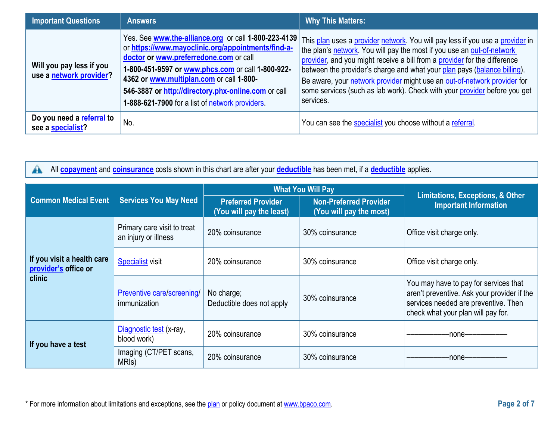| <b>Important Questions</b>                          | <b>Answers</b>                                                                                                                                                                                                                                                                                                                                                  | <b>Why This Matters:</b>                                                                                                                                                                                                                                                                                                                                                                                                                                                               |
|-----------------------------------------------------|-----------------------------------------------------------------------------------------------------------------------------------------------------------------------------------------------------------------------------------------------------------------------------------------------------------------------------------------------------------------|----------------------------------------------------------------------------------------------------------------------------------------------------------------------------------------------------------------------------------------------------------------------------------------------------------------------------------------------------------------------------------------------------------------------------------------------------------------------------------------|
| Will you pay less if you<br>use a network provider? | Yes. See www.the-alliance.org or call 1-800-223-4139<br>or https://www.mayoclinic.org/appointments/find-a-<br>doctor or www.preferredone.com or call<br>1-800-451-9597 or www.phcs.com or call 1-800-922-<br>4362 or www.multiplan.com or call 1-800-<br>546-3887 or http://directory.phx-online.com or call<br>1-888-621-7900 for a list of network providers. | This plan uses a provider network. You will pay less if you use a provider in<br>the plan's network. You will pay the most if you use an out-of-network<br>provider, and you might receive a bill from a provider for the difference<br>between the provider's charge and what your plan pays (balance billing).<br>Be aware, your network provider might use an out-of-network provider for<br>some services (such as lab work). Check with your provider before you get<br>services. |
| Do you need a referral to<br>see a specialist?      | No.                                                                                                                                                                                                                                                                                                                                                             | You can see the specialist you choose without a referral.                                                                                                                                                                                                                                                                                                                                                                                                                              |

| All <b>copayment</b> and <b>coinsurance</b> costs shown in this chart are after your <b>deductible</b> has been met, if a <b>deductible</b> applies.<br>$\blacktriangle$ |                                                     |                                                       |                                                          |                                                                                                                                                                    |  |
|--------------------------------------------------------------------------------------------------------------------------------------------------------------------------|-----------------------------------------------------|-------------------------------------------------------|----------------------------------------------------------|--------------------------------------------------------------------------------------------------------------------------------------------------------------------|--|
|                                                                                                                                                                          | <b>Services You May Need</b>                        |                                                       | <b>What You Will Pay</b>                                 | <b>Limitations, Exceptions, &amp; Other</b>                                                                                                                        |  |
| <b>Common Medical Event</b>                                                                                                                                              |                                                     | <b>Preferred Provider</b><br>(You will pay the least) | <b>Non-Preferred Provider</b><br>(You will pay the most) | <b>Important Information</b>                                                                                                                                       |  |
|                                                                                                                                                                          | Primary care visit to treat<br>an injury or illness | 20% coinsurance                                       | 30% coinsurance                                          | Office visit charge only.                                                                                                                                          |  |
| If you visit a health care<br>provider's office or<br><b>clinic</b>                                                                                                      | <b>Specialist</b> visit                             | 20% coinsurance                                       | 30% coinsurance                                          | Office visit charge only.                                                                                                                                          |  |
|                                                                                                                                                                          | Preventive care/screening/<br>immunization          | No charge;<br>Deductible does not apply               | 30% coinsurance                                          | You may have to pay for services that<br>aren't preventive. Ask your provider if the<br>services needed are preventive. Then<br>check what your plan will pay for. |  |
| If you have a test                                                                                                                                                       | Diagnostic test (x-ray,<br>blood work)              | 20% coinsurance                                       | 30% coinsurance                                          | -none-                                                                                                                                                             |  |
|                                                                                                                                                                          | Imaging (CT/PET scans,<br>MRI <sub>s</sub> )        | 20% coinsurance                                       | 30% coinsurance                                          | -none-                                                                                                                                                             |  |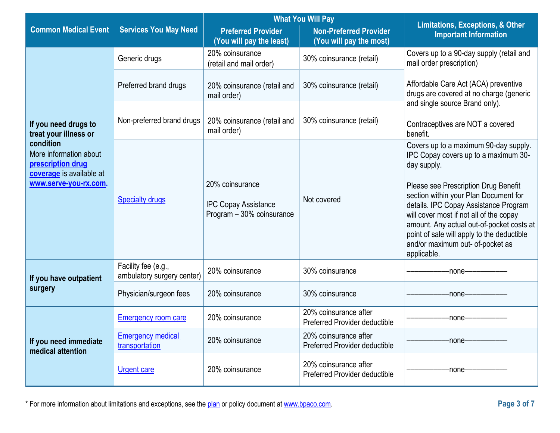|                                                                                                               |                                                   | <b>What You Will Pay</b>                                 |                                                          |                                                                                                                                                                                                                                |  |
|---------------------------------------------------------------------------------------------------------------|---------------------------------------------------|----------------------------------------------------------|----------------------------------------------------------|--------------------------------------------------------------------------------------------------------------------------------------------------------------------------------------------------------------------------------|--|
| <b>Common Medical Event</b>                                                                                   | <b>Services You May Need</b>                      | <b>Preferred Provider</b><br>(You will pay the least)    | <b>Non-Preferred Provider</b><br>(You will pay the most) | <b>Limitations, Exceptions, &amp; Other</b><br><b>Important Information</b>                                                                                                                                                    |  |
|                                                                                                               | Generic drugs                                     | 20% coinsurance<br>(retail and mail order)               | 30% coinsurance (retail)                                 | Covers up to a 90-day supply (retail and<br>mail order prescription)                                                                                                                                                           |  |
|                                                                                                               | Preferred brand drugs                             | 20% coinsurance (retail and<br>mail order)               | 30% coinsurance (retail)                                 | Affordable Care Act (ACA) preventive<br>drugs are covered at no charge (generic                                                                                                                                                |  |
| If you need drugs to<br>treat your illness or                                                                 | Non-preferred brand drugs                         | 20% coinsurance (retail and<br>mail order)               | 30% coinsurance (retail)                                 | and single source Brand only).<br>Contraceptives are NOT a covered<br>benefit.                                                                                                                                                 |  |
| condition<br>More information about<br>prescription drug<br>coverage is available at<br>www.serve-you-rx.com. | <b>Specialty drugs</b>                            | 20% coinsurance                                          | Not covered                                              | Covers up to a maximum 90-day supply.<br>IPC Copay covers up to a maximum 30-<br>day supply.<br>Please see Prescription Drug Benefit<br>section within your Plan Document for                                                  |  |
|                                                                                                               |                                                   | <b>IPC Copay Assistance</b><br>Program - 30% coinsurance |                                                          | details. IPC Copay Assistance Program<br>will cover most if not all of the copay<br>amount. Any actual out-of-pocket costs at<br>point of sale will apply to the deductible<br>and/or maximum out- of-pocket as<br>applicable. |  |
| If you have outpatient                                                                                        | Facility fee (e.g.,<br>ambulatory surgery center) | 20% coinsurance                                          | 30% coinsurance                                          | -none-                                                                                                                                                                                                                         |  |
| surgery                                                                                                       | Physician/surgeon fees                            | 20% coinsurance                                          | 30% coinsurance                                          | -none-                                                                                                                                                                                                                         |  |
|                                                                                                               | <b>Emergency room care</b>                        | 20% coinsurance                                          | 20% coinsurance after<br>Preferred Provider deductible   | -none-                                                                                                                                                                                                                         |  |
| If you need immediate<br>medical attention                                                                    | <b>Emergency medical</b><br>transportation        | 20% coinsurance                                          | 20% coinsurance after<br>Preferred Provider deductible   | -none-                                                                                                                                                                                                                         |  |
|                                                                                                               | <b>Urgent care</b>                                | 20% coinsurance                                          | 20% coinsurance after<br>Preferred Provider deductible   | -none-                                                                                                                                                                                                                         |  |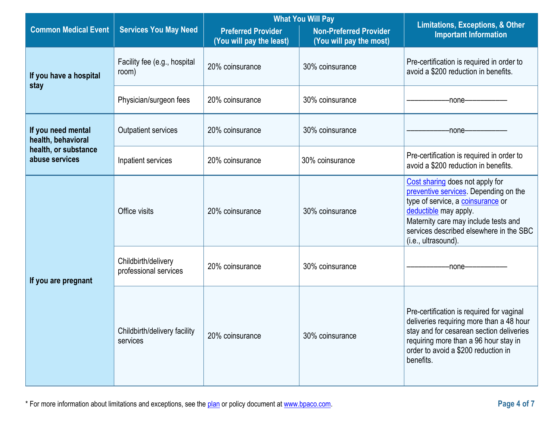|                                          |                                                                                                                                                   | <b>What You Will Pay</b> |                              | Limitations, Exceptions, & Other                                                                                                                                                                                                                 |  |
|------------------------------------------|---------------------------------------------------------------------------------------------------------------------------------------------------|--------------------------|------------------------------|--------------------------------------------------------------------------------------------------------------------------------------------------------------------------------------------------------------------------------------------------|--|
| <b>Common Medical Event</b>              | <b>Services You May Need</b><br><b>Preferred Provider</b><br><b>Non-Preferred Provider</b><br>(You will pay the least)<br>(You will pay the most) |                          | <b>Important Information</b> |                                                                                                                                                                                                                                                  |  |
| If you have a hospital<br>stay           | Facility fee (e.g., hospital<br>room)                                                                                                             | 20% coinsurance          | 30% coinsurance              | Pre-certification is required in order to<br>avoid a \$200 reduction in benefits.                                                                                                                                                                |  |
|                                          | Physician/surgeon fees                                                                                                                            | 20% coinsurance          | 30% coinsurance              | -none-                                                                                                                                                                                                                                           |  |
| If you need mental<br>health, behavioral | <b>Outpatient services</b>                                                                                                                        | 20% coinsurance          | 30% coinsurance              | -none-                                                                                                                                                                                                                                           |  |
| health, or substance<br>abuse services   | Inpatient services                                                                                                                                | 20% coinsurance          | 30% coinsurance              | Pre-certification is required in order to<br>avoid a \$200 reduction in benefits.                                                                                                                                                                |  |
|                                          | Office visits                                                                                                                                     | 20% coinsurance          | 30% coinsurance              | Cost sharing does not apply for<br>preventive services. Depending on the<br>type of service, a coinsurance or<br>deductible may apply.<br>Maternity care may include tests and<br>services described elsewhere in the SBC<br>(i.e., ultrasound). |  |
| If you are pregnant                      | Childbirth/delivery<br>professional services                                                                                                      | 20% coinsurance          | 30% coinsurance              | -none-                                                                                                                                                                                                                                           |  |
|                                          | Childbirth/delivery facility<br>services                                                                                                          | 20% coinsurance          | 30% coinsurance              | Pre-certification is required for vaginal<br>deliveries requiring more than a 48 hour<br>stay and for cesarean section deliveries<br>requiring more than a 96 hour stay in<br>order to avoid a \$200 reduction in<br>benefits.                   |  |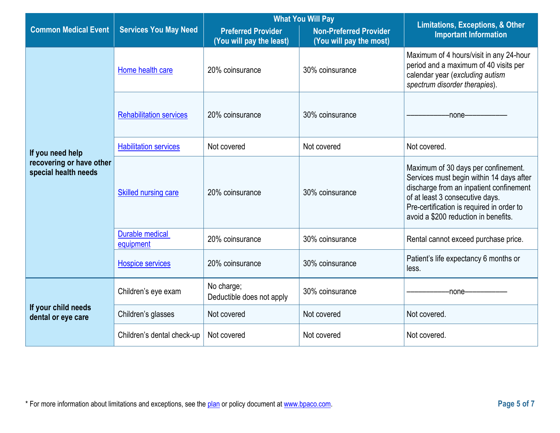|                                                  |                                     | <b>What You Will Pay</b>                              |                                                          | <b>Limitations, Exceptions, &amp; Other</b>                                                                                                                                                                                                        |  |
|--------------------------------------------------|-------------------------------------|-------------------------------------------------------|----------------------------------------------------------|----------------------------------------------------------------------------------------------------------------------------------------------------------------------------------------------------------------------------------------------------|--|
| <b>Common Medical Event</b>                      | <b>Services You May Need</b>        | <b>Preferred Provider</b><br>(You will pay the least) | <b>Non-Preferred Provider</b><br>(You will pay the most) | <b>Important Information</b>                                                                                                                                                                                                                       |  |
|                                                  | Home health care                    | 20% coinsurance                                       | 30% coinsurance                                          | Maximum of 4 hours/visit in any 24-hour<br>period and a maximum of 40 visits per<br>calendar year (excluding autism<br>spectrum disorder therapies).                                                                                               |  |
|                                                  | <b>Rehabilitation services</b>      | 20% coinsurance                                       | 30% coinsurance                                          | -none-                                                                                                                                                                                                                                             |  |
| If you need help                                 | <b>Habilitation services</b>        | Not covered                                           | Not covered                                              | Not covered.                                                                                                                                                                                                                                       |  |
| recovering or have other<br>special health needs | <b>Skilled nursing care</b>         | 20% coinsurance                                       | 30% coinsurance                                          | Maximum of 30 days per confinement.<br>Services must begin within 14 days after<br>discharge from an inpatient confinement<br>of at least 3 consecutive days.<br>Pre-certification is required in order to<br>avoid a \$200 reduction in benefits. |  |
|                                                  | <b>Durable medical</b><br>equipment | 20% coinsurance                                       | 30% coinsurance                                          | Rental cannot exceed purchase price.                                                                                                                                                                                                               |  |
|                                                  | <b>Hospice services</b>             | 20% coinsurance                                       | 30% coinsurance                                          | Patient's life expectancy 6 months or<br>less.                                                                                                                                                                                                     |  |
|                                                  | Children's eye exam                 | No charge;<br>Deductible does not apply               | 30% coinsurance                                          | -none-                                                                                                                                                                                                                                             |  |
| If your child needs<br>dental or eye care        | Children's glasses                  | Not covered                                           | Not covered                                              | Not covered.                                                                                                                                                                                                                                       |  |
|                                                  | Children's dental check-up          | Not covered                                           | Not covered                                              | Not covered.                                                                                                                                                                                                                                       |  |

 $\sim$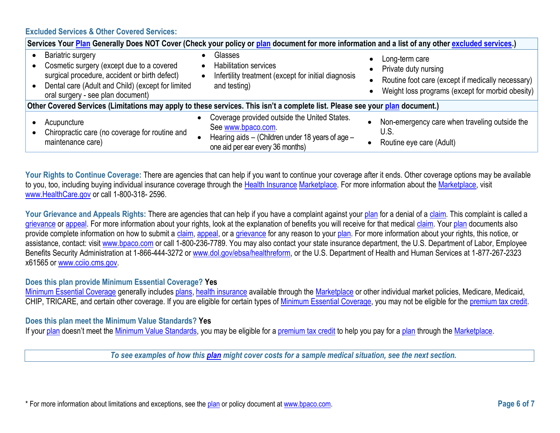### **Excluded Services & Other Covered Services:**

| Services Your Plan Generally Does NOT Cover (Check your policy or plan document for more information and a list of any other excluded services.)                                                                 |  |                                                                                                                                                            |                                     |                                                                                                                                                 |
|------------------------------------------------------------------------------------------------------------------------------------------------------------------------------------------------------------------|--|------------------------------------------------------------------------------------------------------------------------------------------------------------|-------------------------------------|-------------------------------------------------------------------------------------------------------------------------------------------------|
| <b>Bariatric surgery</b><br>Cosmetic surgery (except due to a covered<br>surgical procedure, accident or birth defect)<br>Dental care (Adult and Child) (except for limited<br>oral surgery - see plan document) |  | Glasses<br><b>Habilitation services</b><br>Infertility treatment (except for initial diagnosis<br>and testing)                                             | $\bullet$<br>$\bullet$<br>$\bullet$ | Long-term care<br>Private duty nursing<br>Routine foot care (except if medically necessary)<br>Weight loss programs (except for morbid obesity) |
| Other Covered Services (Limitations may apply to these services. This isn't a complete list. Please see your plan document.)                                                                                     |  |                                                                                                                                                            |                                     |                                                                                                                                                 |
| Acupuncture<br>Chiropractic care (no coverage for routine and<br>maintenance care)                                                                                                                               |  | Coverage provided outside the United States.<br>See www.bpaco.com.<br>Hearing aids - (Children under 18 years of age -<br>one aid per ear every 36 months) |                                     | Non-emergency care when traveling outside the<br>U.S.<br>Routine eye care (Adult)                                                               |

Your Rights to Continue Coverage: There are agencies that can help if you want to continue your coverage after it ends. Other coverage options may be available to you, too, including buying individual insurance coverage through the [Health Insurance](https://www.healthcare.gov/sbc-glossary/#health-insurance) [Marketplace.](https://www.healthcare.gov/sbc-glossary/#marketplace) For more information about th[e Marketplace,](https://www.healthcare.gov/sbc-glossary/#marketplace) visit [www.HealthCare.gov](http://www.healthcare.gov/).or.call 1-800-318-2596

Your Grievance and Appeals Rights: There are agencies that can help if you have a complaint against your [plan](https://www.healthcare.gov/sbc-glossary/#plan) for a denial of a [claim.](https://www.healthcare.gov/sbc-glossary/#claim) This complaint is called a [grievance](https://www.healthcare.gov/sbc-glossary/#grievance) or [appeal.](https://www.healthcare.gov/sbc-glossary/#appeal) For more information about your rights, look at the explanation of benefits you will receive for that medical [claim.](https://www.healthcare.gov/sbc-glossary/#claim) You[r plan](https://www.healthcare.gov/sbc-glossary/#plan) documents also provide complete information on how to submit a [claim,](https://www.healthcare.gov/sbc-glossary/#claim) [appeal,](https://www.healthcare.gov/sbc-glossary/#appeal) or a [grievance](https://www.healthcare.gov/sbc-glossary/#grievance) for any reason to your [plan.](https://www.healthcare.gov/sbc-glossary/#plan) For more information about your rights, this notice, or assistance, contact: visit [www.bpaco.com](http://www.bpaco.com/) or call 1-800-236-7789. You may also contact your state insurance department, the U.S. Department of Labor, Employee Benefits Security Administration at 1-866-444-3272 or [www.dol.gov/ebsa/](http://www.dol.gov/ebsa)healthreform, or the U.S. Department of Health and Human Services at 1-877-267-2323 x61565 or [www.cciio.cms.gov.](http://www.cciio.cms.gov/)

#### **Does this plan provide Minimum Essential Coverage? Yes**

[Minimum Essential Coverage](https://www.healthcare.gov/sbc-glossary/#minimum-essential-coverage) generally includes [plans,](https://www.healthcare.gov/sbc-glossary/#plan) [health insurance](https://www.healthcare.gov/sbc-glossary/#health-insurance) available through the [Marketplace](https://www.healthcare.gov/sbc-glossary/#marketplace) or other individual market policies, Medicare, Medicaid, CHIP, TRICARE, and certain other coverage. If you are eligible for certain types of [Minimum Essential Coverage,](https://www.healthcare.gov/sbc-glossary/#minimum-essential-coverage) you may not be eligible for the [premium tax credit.](https://www.healthcare.gov/sbc-glossary/#premium-tax-credits)

#### **Does this plan meet the Minimum Value Standards? Yes**

If your [plan](https://www.healthcare.gov/sbc-glossary/#plan) doesn't meet the [Minimum Value Standards,](https://www.healthcare.gov/sbc-glossary/#minimum-value-standard) you may be eligible for a [premium tax credit](https://www.healthcare.gov/sbc-glossary/#premium-tax-credits) to help you pay for a plan through the [Marketplace.](https://www.healthcare.gov/sbc-glossary/#marketplace)

*To see examples of how this [plan](https://www.healthcare.gov/sbc-glossary/#plan) might cover costs for a sample medical situation, see the next section.*